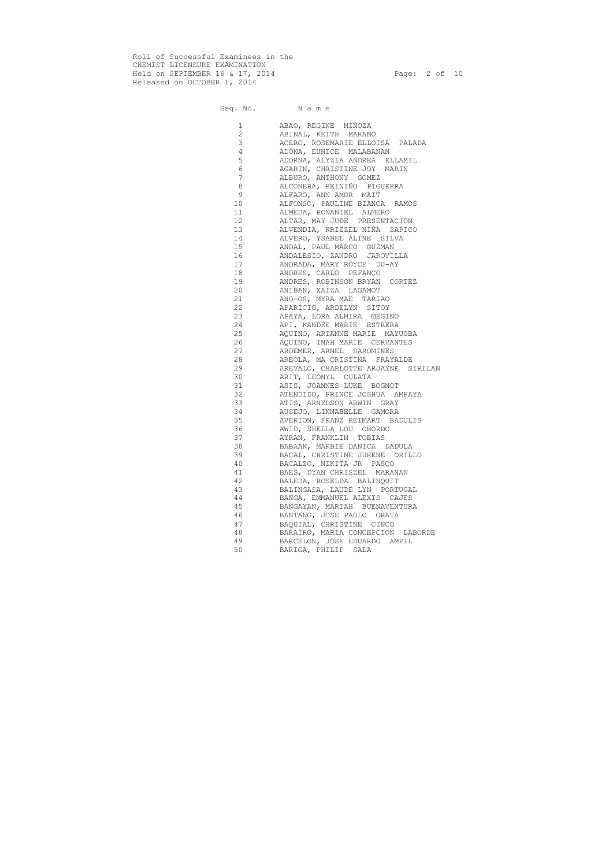Roll of Successful Examinees in the CHEMIST LICENSURE EXAMINATION Held on SEPTEMBER 16 & 17, 2014 Page: 2 of 10 Released on OCTOBER 1, 2014

| $\mathbf 1$    | ABAO, REGINE MIÑOZA                |
|----------------|------------------------------------|
| $\overline{2}$ | ABINAL, KEITH MARANO               |
| 3              | ACERO, ROSEMARIE ELLOISA PALADA    |
| $\overline{4}$ | ADONA, EUNICE MALABANAN            |
| 5              | ADORNA, ALYZIA ANDREA ELLAMIL      |
| $\epsilon$     | AGARIN, CHRISTINE JOY MARIN        |
| $\overline{7}$ | ALBURO, ANTHONY GOMEZ              |
| 8              | ALCONERA, REINIÑO PIGUERRA         |
| 9              | ALFARO, ANN AMOR MAIT              |
| 10             | ALFONSO, PAULINE BIANCA RAMOS      |
| 11             | ALMEDA, RONANIEL ALMERO            |
| 12             | ALTAR, MAY JUDE PRESENTACION       |
| 13             | ALVENDIA, KRIZZEL NIÑA SAPICO      |
| 14             | ALVERO, YSABEL ALINE SILVA         |
| 15             | ANDAL, PAUL MARCO GUZMAN           |
| 16             | ANDALESIO, ZANDRO JAROVILLA        |
| 17             | ANDRADA, MARY ROYCE DU-AY          |
| 18             | ANDRES, CARLO PEFANCO              |
| 19             | ANDRES, ROBINSON BRYAN CORTEZ      |
| 20             | ANIBAN, XAIZA LAGAMOT              |
| 21             | ANO-OS, MYRA MAE TARIAO            |
| 22             | APARICIO, ARDELYN SITOY            |
| 23             | APAYA, LORA ALMIRA MEGINO          |
| 24             | API, KANDEE MARIE ESTRERA          |
| 25             | AQUINO, ARIANNE MARIE MAYUGBA      |
| 26             | AQUINO, INAH MARIE CERVANTES       |
| 27             | ARDEMER, ARNEL SAROMINES           |
| 28             | AREOLA, MA CRISTINA FRAYALDE       |
| 29             | AREVALO, CHARLOTTE ARJAYNE SIRILAN |
| 30             | ARIT, LEONYL CULATA                |
| 31             | ASIS, JOANNES LUKE BOGNOT          |
| 32             | ATENDIDO, PRINCE JOSHUA AMPAYA     |
| 33             | ATIS, ARNELSON ARWIN GRAY          |
| 34             | AUSEJO, LINNABELLE GAMORA          |
| 35             | AVERION, FRANZ REIMART BADULIS     |
| 36             | AWID, SHELLA LOU OBORDO            |
| 37             | AYRAN, FRANKLIN TOBIAS             |
| 38             | BABAAN, MARBIE DANICA DADULA       |
| 39             | BACAL, CHRISTINE JURENE ORILLO     |
| 40             | BACALZO, NIKITA JR PASCO           |
| 41             | BAES, DYAN CHRISZEL MARANAN        |
| 42             | BALEDA, ROSELDA BALINQUIT          |
| 43             | BALINGASA, LAUDE LYN PORTUGAL      |
| 44             | BANGA, EMMANUEL ALEXIS CAJES       |
| 45             | BANGAYAN, MARIAH BUENAVENTURA      |
| 46             | BANTANG, JOSE PAOLO ORATA          |
| 47             | BAQUIAL, CHRISTINE CINCO           |
| 48             | BARAIRO, MARIA CONCEPCION LABORDE  |
| 49             | BARCELON, JOSE EDUARDO AMPIL       |
| 50             | BARIGA, PHILIP SALA                |
|                |                                    |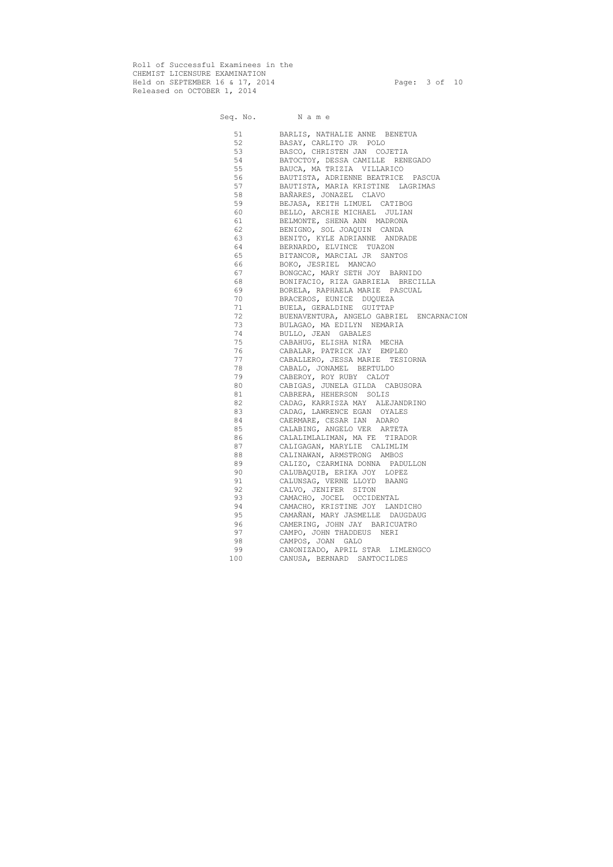Roll of Successful Examinees in the CHEMIST LICENSURE EXAMINATION Held on SEPTEMBER 16 & 17, 2014 Page: 3 of 10 Released on OCTOBER 1, 2014

#### Seq. No. Name

 51 BARLIS, NATHALIE ANNE BENETUA 52 BASAY, CARLITO JR POLO 53 BASCO, CHRISTEN JAN COJETIA<br>54 BATOCTOY, DESSA CAMILLE REN 54 BATOCTOY, DESSA CAMILLE RENEGADO 55 BAUCA, MA TRIZIA VILLARICO 56 BAUTISTA, ADRIENNE BEATRICE PASCUA 57 BAUTISTA, MARIA KRISTINE LAGRIMAS<br>58 BAÑARES, JONAZEL CLAVO 58 BAÑARES, JONAZEL CLAVO 59 BEJASA, KEITH LIMUEL CATIBOG 60 BELLO, ARCHIE MICHAEL JULIAN 61 BELMONTE, SHENA ANN MADRONA 62 BENIGNO, SOL JOAQUIN CANDA 63 BENITO, KYLE ADRIANNE ANDRADE 64 BERNARDO, ELVINCE TUAZON 65 BITANCOR, MARCIAL JR SANTOS 66 BOKO, JESRIEL MANCAO 67 BONGCAC, MARY SETH JOY BARNIDO 68 BONIFACIO, RIZA GABRIELA BRECILLA 69 BORELA, RAPHAELA MARIE PASCUAL 70 BRACEROS, EUNICE DUQUEZA 71 BUELA, GERALDINE GUITTAP 72 BUENAVENTURA, ANGELO GABRIEL ENCARNACION 73 BULAGAO, MA EDILYN NEMARIA 74 BULLO, JEAN GABALES 75 CABAHUG, ELISHA NIÑA MECHA 76 CABALAR, PATRICK JAY EMPLEO 77 CABALLERO, JESSA MARIE TESIORNA 78 CABALO, JONAMEL BERTULDO 79 CABEROY, ROY RUBY CALOT 80 CABIGAS, JUNELA GILDA CABUSORA 81 CABRERA, HEHERSON SOLIS 82 CADAG, KARRISZA MAY ALEJANDRINO 83 CADAG, LAWRENCE EGAN OYALES 84 CAERMARE, CESAR IAN ADARO 85 CALABING, ANGELO VER ARTETA 86 CALALIMLALIMAN, MA FE TIRADOR 87 CALIGAGAN, MARYLIE CALIMLIM 88 CALINAWAN, ARMSTRONG AMBOS 89 CALIZO, CZARMINA DONNA PADULLON 90 CALUBAQUIB, ERIKA JOY LOPEZ 91 CALUNSAG, VERNE LLOYD BAANG 92 CALVO, JENIFER SITON 93 CAMACHO, JOCEL OCCIDENTAL 94 CAMACHO, KRISTINE JOY LANDICHO 95 CAMAÑAN, MARY JASMELLE DAUGDAUG 96 CAMERING, JOHN JAY BARICUATRO 97 CAMPO, JOHN THADDEUS NERI 98 CAMPOS, JOAN GALO 99 CANONIZADO, APRIL STAR LIMLENGCO 100 CANUSA, BERNARD SANTOCILDES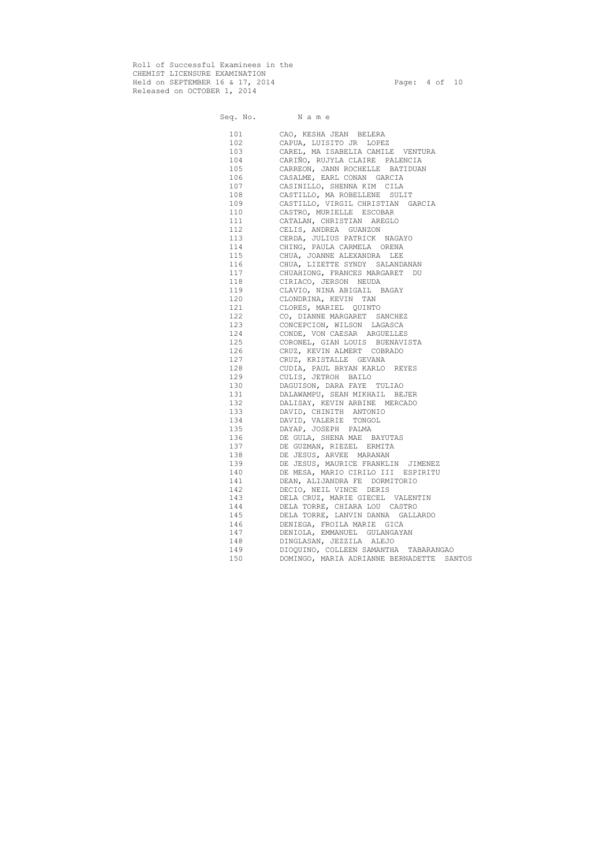Roll of Successful Examinees in the CHEMIST LICENSURE EXAMINATION Held on SEPTEMBER 16 & 17, 2014 Page: 4 of 10 Released on OCTOBER 1, 2014

| 101 | CAO, KESHA JEAN BELERA                    |
|-----|-------------------------------------------|
| 102 | CAPUA, LUISITO JR LOPEZ                   |
| 103 | CAREL, MA ISABELIA CAMILE VENTURA         |
| 104 | CARIÑO, RUJYLA CLAIRE PALENCIA            |
| 105 | CARREON, JANN ROCHELLE BATIDUAN           |
| 106 | CASALME, EARL CONAN GARCIA                |
| 107 | CASINILLO, SHENNA KIM CILA                |
| 108 | CASTILLO, MA ROBELLENE SULIT              |
| 109 | CASTILLO, VIRGIL CHRISTIAN GARCIA         |
| 110 | CASTRO, MURIELLE ESCOBAR                  |
| 111 | CATALAN, CHRISTIAN AREGLO                 |
| 112 | CELIS, ANDREA GUANZON                     |
| 113 | CERDA, JULIUS PATRICK NAGAYO              |
| 114 | CHING, PAULA CARMELA ORENA                |
| 115 | CHUA, JOANNE ALEXANDRA LEE                |
| 116 | CHUA, LIZETTE SYNDY SALANDANAN            |
| 117 | CHUAHIONG, FRANCES MARGARET DU            |
| 118 | CIRIACO, JERSON NEUDA                     |
| 119 | CLAVIO, NINA ABIGAIL BAGAY                |
| 120 | CLONDRINA, KEVIN TAN                      |
|     | 121 CLORES, MARIEL QUINTO                 |
|     | 122 CO, DIANNE MARGARET SANCHEZ           |
|     | 123 CONCEPCION, WILSON LAGASCA            |
| 124 | CONDE, VON CAESAR ARGUELLES               |
|     | 125 CORONEL, GIAN LOUIS BUENAVISTA        |
|     | 126 CRUZ, KEVIN ALMERT COBRADO            |
|     | 127 CRUZ, KRISTALLE GEVANA                |
|     | 128 CUDIA, PAUL BRYAN KARLO REYES         |
| 129 | CULIS, JETROH BAILO                       |
| 130 | DAGUISON, DARA FAYE TULIAO                |
| 131 | DALAWAMPU, SEAN MIKHAIL BEJER             |
|     | 132 DALISAY, KEVIN ARBINE MERCADO         |
|     | 133 DAVID, CHINITH ANTONIO                |
|     | 134 DAVID, VALERIE TONGOL                 |
|     | 135 DAYAP, JOSEPH PALMA                   |
| 136 | DE GULA, SHENA MAE BAYUTAS                |
| 137 | DE GUZMAN, RIEZEL ERMITA                  |
| 138 | DE JESUS, ARVEE MARANAN                   |
| 139 | DE JESUS, MAURICE FRANKLIN JIMENEZ        |
| 140 | DE MESA, MARIO CIRILO III ESPIRITU        |
| 141 | DEAN, ALIJANDRA FE DORMITORIO             |
| 142 | DECIO, NEIL VINCE DERIS                   |
| 143 | DELA CRUZ, MARIE GIECEL VALENTIN          |
| 144 | DELA TORRE, CHIARA LOU CASTRO             |
| 145 |                                           |
|     | DELA TORRE, LANVIN DANNA GALLARDO         |
| 146 | DENIEGA, FROILA MARIE GICA                |
| 147 | DENIOLA, EMMANUEL GULANGAYAN              |
| 148 | DINGLASAN, JEZZILA ALEJO                  |
| 149 | DIOQUINO, COLLEEN SAMANTHA TABARANGAO     |
| 150 | DOMINGO, MARIA ADRIANNE BERNADETTE SANTOS |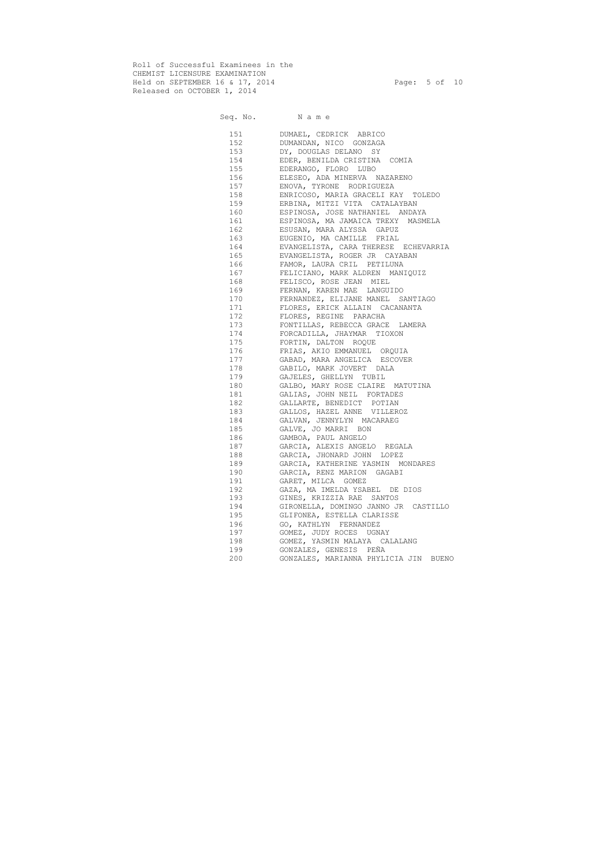Roll of Successful Examinees in the CHEMIST LICENSURE EXAMINATION Held on SEPTEMBER 16 & 17, 2014 **Page:** 5 of 10 Released on OCTOBER 1, 2014

| 151 | DUMAEL, CEDRICK ABRICO                |
|-----|---------------------------------------|
| 152 | DUMANDAN, NICO GONZAGA                |
| 153 | DY, DOUGLAS DELANO SY                 |
| 154 | EDER, BENILDA CRISTINA COMIA          |
| 155 | EDERANGO, FLORO LUBO                  |
| 156 | ELESEO, ADA MINERVA NAZARENO          |
| 157 | ENOVA, TYRONE RODRIGUEZA              |
| 158 | ENRICOSO, MARIA GRACELI KAY TOLEDO    |
| 159 | ERBINA, MITZI VITA CATALAYBAN         |
| 160 | ESPINOSA, JOSE NATHANIEL ANDAYA       |
| 161 | ESPINOSA, MA JAMAICA TREXY MASMELA    |
| 162 | ESUSAN, MARA ALYSSA GAPUZ             |
| 163 | EUGENIO, MA CAMILLE FRIAL             |
| 164 | EVANGELISTA, CARA THERESE ECHEVARRIA  |
| 165 | EVANGELISTA, ROGER JR CAYABAN         |
| 166 | FAMOR, LAURA CRIL PETILUNA            |
| 167 | FELICIANO, MARK ALDREN MANIQUIZ       |
| 168 | FELISCO, ROSE JEAN MIEL               |
| 169 | FERNAN, KAREN MAE LANGUIDO            |
| 170 | FERNANDEZ, ELIJANE MANEL SANTIAGO     |
| 171 | FLORES, ERICK ALLAIN CACANANTA        |
| 172 | FLORES, REGINE PARACHA                |
| 173 | FONTILLAS, REBECCA GRACE LAMERA       |
| 174 | FORCADILLA, JHAYMAR TIOXON            |
| 175 | FORTIN, DALTON ROQUE                  |
| 176 | FRIAS, AKIO EMMANUEL ORQUIA           |
| 177 | GABAD, MARA ANGELICA ESCOVER          |
| 178 | GABILO, MARK JOVERT DALA              |
| 179 | GAJELES, GHELLYN TUBIL                |
| 180 | GALBO, MARY ROSE CLAIRE MATUTINA      |
| 181 | GALIAS, JOHN NEIL FORTADES            |
| 182 | GALLARTE, BENEDICT POTIAN             |
| 183 | GALLOS, HAZEL ANNE VILLEROZ           |
| 184 | GALVAN, JENNYLYN MACARAEG             |
| 185 | GALVE, JO MARRI BON                   |
| 186 | GAMBOA, PAUL ANGELO                   |
| 187 | GARCIA, ALEXIS ANGELO REGALA          |
| 188 | GARCIA, JHONARD JOHN LOPEZ            |
| 189 | GARCIA, KATHERINE YASMIN MONDARES     |
| 190 | GARCIA, RENZ MARION GAGABI            |
| 191 | GARET, MILCA GOMEZ                    |
| 192 | GAZA, MA IMELDA YSABEL DE DIOS        |
| 193 | GINES, KRIZZIA RAE SANTOS             |
| 194 | GIRONELLA, DOMINGO JANNO JR CASTILLO  |
| 195 | GLIFONEA, ESTELLA CLARISSE            |
| 196 | GO, KATHLYN FERNANDEZ                 |
| 197 | GOMEZ, JUDY ROCES UGNAY               |
| 198 | GOMEZ, YASMIN MALAYA CALALANG         |
| 199 | GONZALES, GENESIS PEÑA                |
| 200 | GONZALES, MARIANNA PHYLICIA JIN BUENO |
|     |                                       |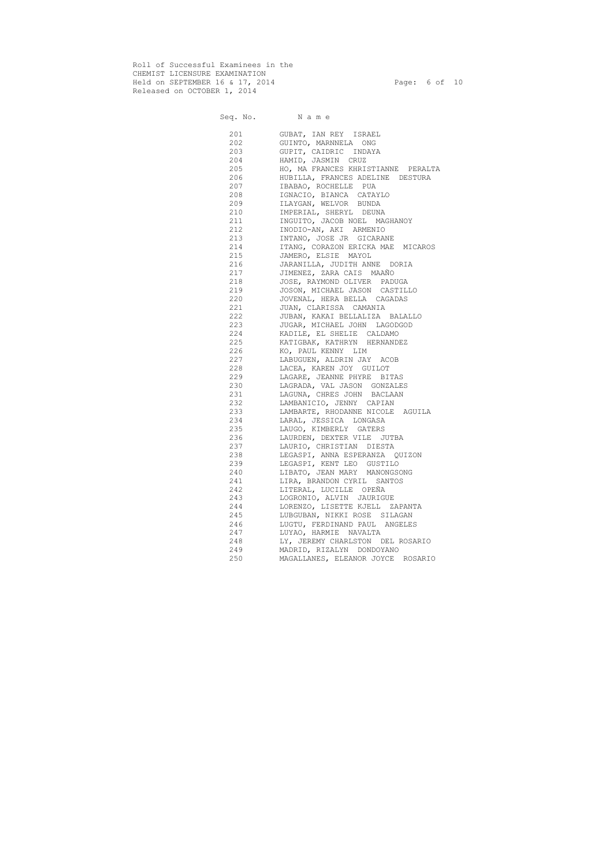Roll of Successful Examinees in the CHEMIST LICENSURE EXAMINATION Held on SEPTEMBER 16 & 17, 2014 **Page:** 6 of 10 Released on OCTOBER 1, 2014

|     | 201 | GUBAT, IAN REY ISRAEL              |
|-----|-----|------------------------------------|
|     | 202 | GUINTO, MARNNELA ONG               |
|     | 203 | GUPIT, CAIDRIC INDAYA              |
|     | 204 | HAMID, JASMIN CRUZ                 |
|     | 205 | HO, MA FRANCES KHRISTIANNE PERALTA |
|     | 206 | HUBILLA, FRANCES ADELINE DESTURA   |
|     | 207 | IBABAO, ROCHELLE PUA               |
|     | 208 | IGNACIO, BIANCA CATAYLO            |
|     | 209 | ILAYGAN, WELVOR BUNDA              |
|     | 210 | IMPERIAL, SHERYL DEUNA             |
|     | 211 | INGUITO, JACOB NOEL MAGHANOY       |
|     | 212 | INODIO-AN, AKI ARMENIO             |
|     | 213 | INTANO, JOSE JR GICARANE           |
|     | 214 | ITANG, CORAZON ERICKA MAE MICAROS  |
|     | 215 | JAMERO, ELSIE MAYOL                |
|     | 216 |                                    |
|     |     | JARANILLA, JUDITH ANNE DORIA       |
|     | 217 | JIMENEZ, ZARA CAIS MAAÑO           |
|     | 218 | JOSE, RAYMOND OLIVER PADUGA        |
|     | 219 | JOSON, MICHAEL JASON CASTILLO      |
|     | 220 | JOVENAL, HERA BELLA CAGADAS        |
|     | 221 | JUAN, CLARISSA CAMANIA             |
|     | 222 | JUBAN, KAKAI BELLALIZA BALALLO     |
|     | 223 | JUGAR, MICHAEL JOHN LAGODGOD       |
|     | 224 | KADILE, EL SHELIE CALDAMO          |
|     | 225 | KATIGBAK, KATHRYN HERNANDEZ        |
|     | 226 | KO, PAUL KENNY LIM                 |
|     | 227 | LABUGUEN, ALDRIN JAY ACOB          |
|     | 228 | LACEA, KAREN JOY GUILOT            |
|     | 229 | LAGARE, JEANNE PHYRE BITAS         |
|     | 230 | LAGRADA, VAL JASON GONZALES        |
|     | 231 | LAGUNA, CHRES JOHN BACLAAN         |
|     | 232 | LAMBANICIO, JENNY CAPIAN           |
|     | 233 | LAMBARTE, RHODANNE NICOLE AGUILA   |
|     | 234 | LARAL, JESSICA LONGASA             |
|     | 235 | LAUGO, KIMBERLY GATERS             |
|     | 236 | LAURDEN, DEXTER VILE JUTBA         |
|     | 237 | LAURIO, CHRISTIAN DIESTA           |
| 238 |     | LEGASPI, ANNA ESPERANZA QUIZON     |
| 239 |     | LEGASPI, KENT LEO GUSTILO          |
| 240 |     | LIBATO, JEAN MARY MANONGSONG       |
|     | 241 | LIRA, BRANDON CYRIL SANTOS         |
| 242 |     | LITERAL, LUCILLE OPEÑA             |
| 243 |     | LOGRONIO, ALVIN JAURIGUE           |
| 244 |     | LORENZO, LISETTE KJELL ZAPANTA     |
| 245 |     | LUBGUBAN, NIKKI ROSE SILAGAN       |
| 246 |     | LUGTU, FERDINAND PAUL ANGELES      |
| 247 |     | LUYAO, HARMIE NAVALTA              |
| 248 |     | LY, JEREMY CHARLSTON DEL ROSARIO   |
| 249 |     | MADRID, RIZALYN DONDOYANO          |
| 250 |     | MAGALLANES, ELEANOR JOYCE ROSARIO  |
|     |     |                                    |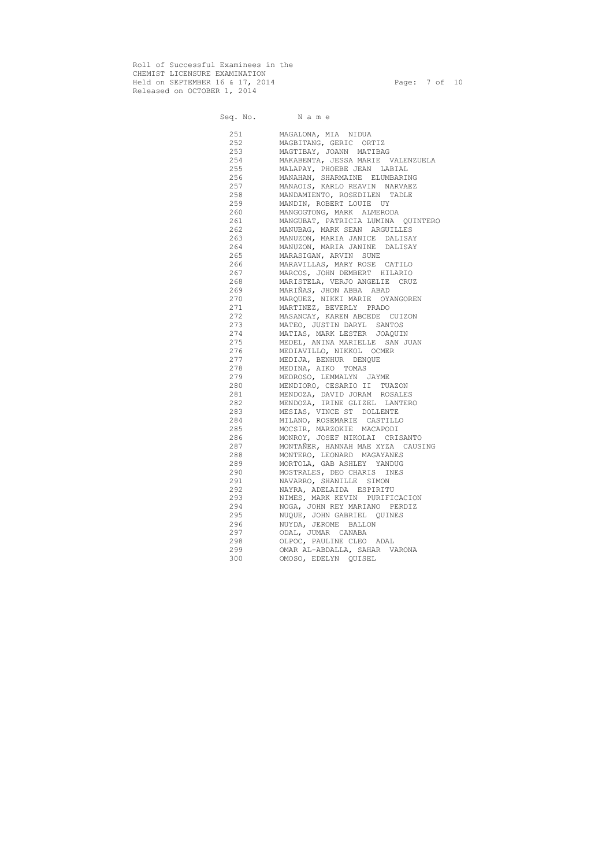Roll of Successful Examinees in the CHEMIST LICENSURE EXAMINATION Held on SEPTEMBER 16 & 17, 2014 Page: 7 of 10 Released on OCTOBER 1, 2014

| 251     | MAGALONA, MIA NIDUA                |
|---------|------------------------------------|
| 252     | MAGBITANG, GERIC ORTIZ             |
| 253     | MAGTIBAY, JOANN MATIBAG            |
| 254     | MAKABENTA, JESSA MARIE VALENZUELA  |
| 255     | MALAPAY, PHOEBE JEAN LABIAL        |
| 256     | MANAHAN, SHARMAINE ELUMBARING      |
| 257     | MANAOIS, KARLO REAVIN NARVAEZ      |
| 258     | MANDAMIENTO, ROSEDILEN TADLE       |
| 259     | MANDIN, ROBERT LOUIE UY            |
| 260     | MANGOGTONG, MARK ALMERODA          |
| 261 200 | MANGUBAT, PATRICIA LUMINA QUINTERO |
| 262     | MANUBAG, MARK SEAN ARGUILLES       |
| 263     | MANUZON, MARIA JANICE DALISAY      |
| 264     | MANUZON, MARIA JANINE DALISAY      |
| 265     | MARASIGAN, ARVIN SUNE              |
| 266 200 | MARAVILLAS, MARY ROSE CATILO       |
| 267 200 | MARCOS, JOHN DEMBERT HILARIO       |
| 268 30  | MARISTELA, VERJO ANGELIE CRUZ      |
| 269     | MARIÑAS, JHON ABBA ABAD            |
| 270     | MARQUEZ, NIKKI MARIE OYANGOREN     |
| 271     | MARTINEZ, BEVERLY PRADO            |
| 272     | MASANCAY, KAREN ABCEDE CUIZON      |
| 273     | MATEO, JUSTIN DARYL SANTOS         |
| 274     | MATIAS, MARK LESTER JOAQUIN        |
| 275     | MEDEL, ANINA MARIELLE SAN JUAN     |
| 276     | MEDIAVILLO, NIKKOL OCMER           |
| 277     | MEDIJA, BENHUR DENQUE              |
| 278     | MEDINA, AIKO TOMAS                 |
| 279     | MEDROSO, LEMMALYN JAYME            |
| 280     | MENDIORO, CESARIO II TUAZON        |
| 281     | MENDOZA, DAVID JORAM ROSALES       |
| 282     | MENDOZA, IRINE GLIZEL LANTERO      |
| 283     | MESIAS, VINCE ST DOLLENTE          |
| 284     | MILANO, ROSEMARIE CASTILLO         |
| 285     | MOCSIR, MARZOKIE MACAPODI          |
| 286     | MONROY, JOSEF NIKOLAI CRISANTO     |
| 287     | MONTAÑER, HANNAH MAE XYZA CAUSING  |
| 288     | MONTERO, LEONARD MAGAYANES         |
| 289     | MORTOLA, GAB ASHLEY YANDUG         |
| 290     | MOSTRALES, DEO CHARIS INES         |
| 291     | NAVARRO, SHANILLE<br>SIMON         |
| 292     | NAYRA, ADELAIDA ESPIRITU           |
| 293     | NIMES, MARK KEVIN PURIFICACION     |
| 294     | NOGA, JOHN REY MARIANO PERDIZ      |
| 295     | NUQUE, JOHN GABRIEL QUINES         |
| 296     | NUYDA, JEROME BALLON               |
| 297     | ODAL, JUMAR CANABA                 |
| 298     | OLPOC, PAULINE CLEO ADAL           |
| 299     | OMAR AL-ABDALLA, SAHAR VARONA      |
| 300     | OMOSO, EDELYN QUISEL               |
|         |                                    |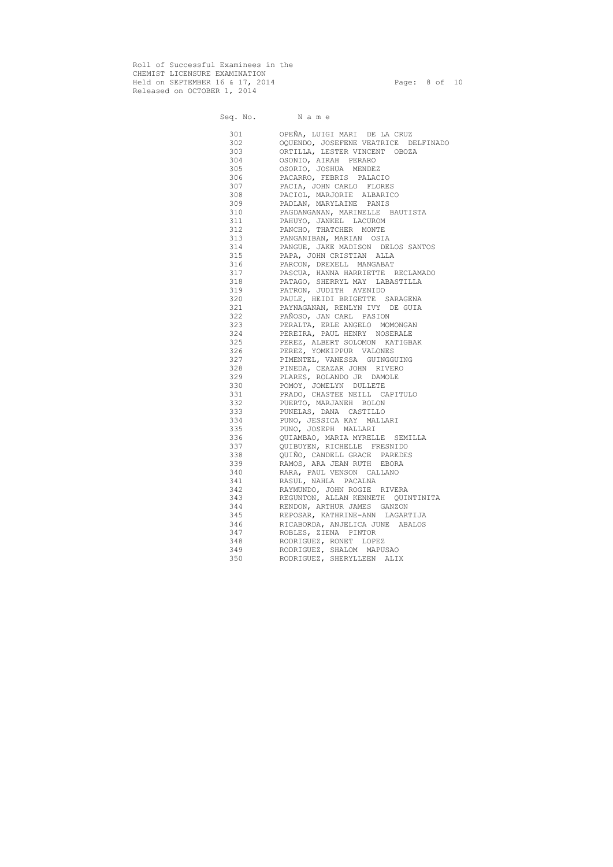Roll of Successful Examinees in the CHEMIST LICENSURE EXAMINATION Held on SEPTEMBER 16 & 17, 2014 Page: 8 of 10 Released on OCTOBER 1, 2014

Seq. No. Name

#### 301 OPEÑA, LUIGI MARI DE LA CRUZ 302 OQUENDO, JOSEFENE VEATRICE DELFINADO<br>303 ORTILLA, LESTER VINCENT OBOZA ORTILLA, LESTER VINCENT OBOZA 304 OSONIO, AIRAH PERARO 305 OSORIO, JOSHUA MENDEZ 306 PACARRO, FEBRIS PALACIO 307 PACIA, JOHN CARLO FLORES 308 PACIOL, MARJORIE ALBARICO 309 PADLAN, MARYLAINE PANIS 310 PAGDANGANAN, MARINELLE BAUTISTA 311 PAHUYO, JANKEL LACUROM 312 PANCHO, THATCHER MONTE 313 PANGANIBAN, MARIAN OSIA 314 PANGUE, JAKE MADISON DELOS SANTOS 315 PAPA, JOHN CRISTIAN ALLA 316 PARCON, DREXELL MANGABAT 317 PASCUA, HANNA HARRIETTE RECLAMADO 318 PATAGO, SHERRYL MAY LABASTILLA 319 PATRON, JUDITH AVENIDO 320 PAULE, HEIDI BRIGETTE SARAGENA 321 PAYNAGANAN, RENLYN IVY DE GUIA 322 PAÑOSO, JAN CARL PASION 323 PERALTA, ERLE ANGELO MOMONGAN 324 PEREIRA, PAUL HENRY NOSERALE 325 PEREZ, ALBERT SOLOMON KATIGBAK 326 PEREZ, YOMKIPPUR VALONES 327 PIMENTEL, VANESSA GUINGGUING 328 PINEDA, CEAZAR JOHN RIVERO 329 PLARES, ROLANDO JR DAMOLE 330 POMOY, JOMELYN DULLETE 331 PRADO, CHASTEE NEILL CAPITULO 332 PUERTO, MARJANEH BOLON 333 PUNELAS, DANA CASTILLO 334 PUNO, JESSICA KAY MALLARI 335 PUNO, JOSEPH MALLARI 336 QUIAMBAO, MARIA MYRELLE SEMILLA 337 QUIBUYEN, RICHELLE FRESNIDO 338 QUIÑO, CANDELL GRACE PAREDES 339 RAMOS, ARA JEAN RUTH EBORA 340 RARA, PAUL VENSON CALLANO 341 RASUL, NAHLA PACALNA 342 RAYMUNDO, JOHN ROGIE RIVERA 343 REGUNTON, ALLAN KENNETH QUINTINITA 344 RENDON, ARTHUR JAMES GANZON 345 REPOSAR, KATHRINE-ANN LAGARTIJA 346 RICABORDA, ANJELICA JUNE ABALOS 347 ROBLES, ZIENA PINTOR 348 RODRIGUEZ, RONET LOPEZ 349 RODRIGUEZ, SHALOM MAPUSAO 350 RODRIGUEZ, SHERYLLEEN ALIX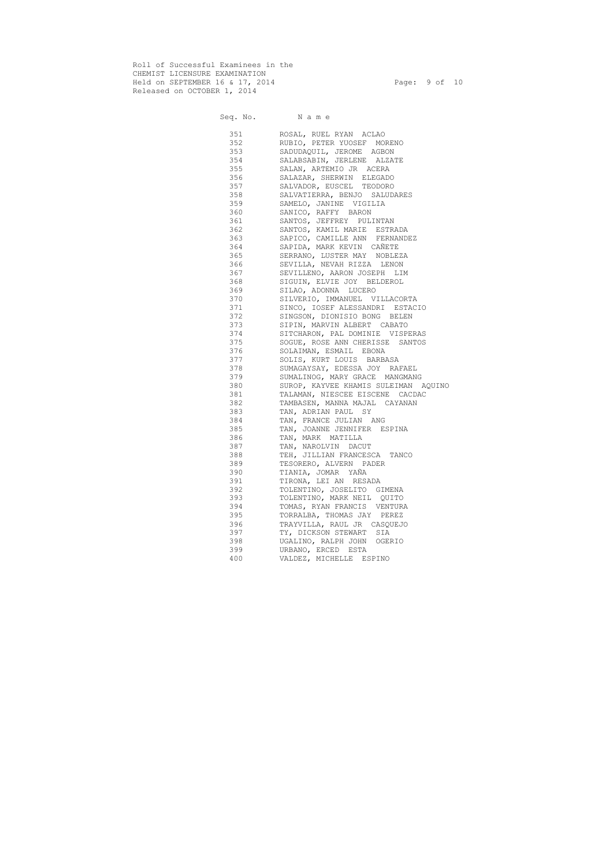Roll of Successful Examinees in the CHEMIST LICENSURE EXAMINATION Held on SEPTEMBER 16 & 17, 2014 Page: 9 of 10 Released on OCTOBER 1, 2014

| 351       | ROSAL, RUEL RYAN ACLAO               |
|-----------|--------------------------------------|
| 352       | RUBIO, PETER YUOSEF MORENO           |
| 353       | SADUDAQUIL, JEROME AGBON             |
| 354       | SALABSABIN, JERLENE ALZATE           |
| 355       | SALAN, ARTEMIO JR ACERA              |
| 356       | SALAZAR, SHERWIN ELEGADO             |
| 357       | SALVADOR, EUSCEL TEODORO             |
| 358       | SALVATIERRA, BENJO SALUDARES         |
| 359       | SAMELO, JANINE VIGILIA               |
| 360       | SANICO, RAFFY BARON                  |
| 361       | SANTOS, JEFFREY PULINTAN             |
| 362       | SANTOS, KAMIL MARIE ESTRADA          |
| 363       | SAPICO, CAMILLE ANN FERNANDEZ        |
|           | 364 SAPIDA, MARK KEVIN CAÑETE        |
|           | 365 SERRANO, LUSTER MAY NOBLEZA      |
|           | 366 SEVILLA, NEVAH RIZZA LENON       |
|           | 367 SEVILLENO, AARON JOSEPH LIM      |
|           | 368 SIGUIN, ELVIE JOY BELDEROL       |
| 369 30    | SILAO, ADONNA LUCERO                 |
|           | SILVERIO, IMMANUEL VILLACORTA        |
| 371 — 200 | SINCO, IOSEF ALESSANDRI ESTACIO      |
| 372       | SINGSON, DIONISIO BONG BELEN         |
|           | 373 SIPIN, MARVIN ALBERT CABATO      |
|           | 374 SITCHARON, PAL DOMINIE VISPERAS  |
| 375 376   |                                      |
| 376 376   | SOGUE, ROSE ANN CHERISSE SANTOS      |
|           | SOLAIMAN, ESMAIL EBONA               |
|           | 377 SOLIS, KURT LOUIS BARBASA        |
| 378 378   | SUMAGAYSAY, EDESSA JOY RAFAEL        |
|           | 379 SUMALINOG, MARY GRACE MANGMANG   |
| 380 380   | SUROP, KAYVEE KHAMIS SULEIMAN AQUINO |
|           | TALAMAN, NIESCEE EISCENE CACDAC      |
| 382 200   | TAMBASEN, MANNA MAJAL CAYANAN        |
| 383 38    | TAN, ADRIAN PAUL SY                  |
| 384 389   | TAN, FRANCE JULIAN ANG               |
| 385 386   | TAN, JOANNE JENNIFER ESPINA          |
|           | 386 TAN, MARK MATILLA                |
| 387       | TAN, NAROLVIN DACUT                  |
| 388       | TEH, JILLIAN FRANCESCA<br>TANCO      |
| 389       | TESORERO, ALVERN PADER               |
| 390       | TIANIA, JOMAR YAÑA                   |
| 391       | TIRONA, LEI AN RESADA                |
| 392       | TOLENTINO, JOSELITO GIMENA           |
| 393       | TOLENTINO, MARK NEIL<br>QUITO        |
| 394       | TOMAS, RYAN FRANCIS VENTURA          |
| 395       | TORRALBA, THOMAS JAY PEREZ           |
| 396       | TRAYVILLA, RAUL JR CASQUEJO          |
| 397       | TY, DICKSON STEWART<br>SIA           |
| 398       | UGALINO, RALPH JOHN<br>OGERIO        |
| 399       | URBANO, ERCED ESTA                   |
| 400       | VALDEZ, MICHELLE ESPINO              |
|           |                                      |